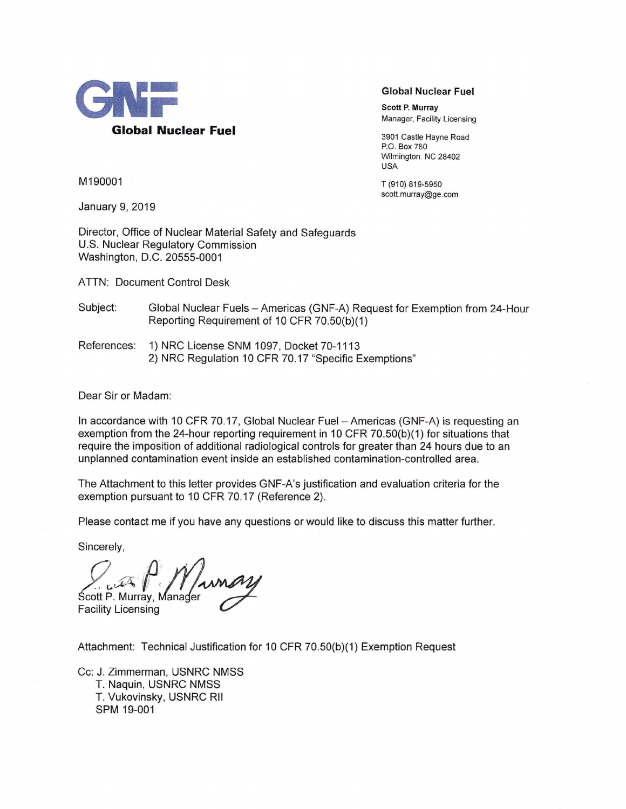

**Global Nuclear Fuel** 

Scott P. Murray Manager, Facility Licensing

3901 Castle Hayne Road P.O. Box 780 Wilmington. NC 28402 USA

T (910) 819-5950 scott.murray@ge.com

M190001

January 9, 2019

Director, Office of Nuclear Material Safety and Safeguards U.S. Nuclear Regulatory Commission Washington, D.C. 20555-0001

ATTN: Document Control Desk

Subject: Global Nuclear Fuels- Americas (GNF-A) Request for Exemption from 24-Hour Reporting Requirement of 10 CFR 70.50(b)(1)

References: 1) NRC License SNM 1097, Docket 70-1113 2) NRC Regulation 10 CFR 70.17 "Specific Exemptions"

Dear Sir or Madam:

In accordance with 10 CFR 70.17, Global Nuclear Fuel - Americas (GNF-A) is requesting an exemption from the 24-hour reporting requirement in 10 CFR 70.50(b)(1) for situations that require the imposition of additional radiological controls for greater than 24 hours due to an unplanned contamination event inside an established contamination-controlled area.

The Attachment to this letter provides GNF-A's justification and evaluation criteria for the exemption pursuant to 10 CFR 70.17 (Reference 2).

Please contact me if you have any questions or would like to discuss this matter further.

Sincerely,

*,*  $\hat{P}$ *,*  $\hat{M}$ Ścott P. Murray, ana e~ r ~

Facility Licensing

Attachment: Technical Justification for 10 CFR 70.50(b)(1) Exemption Request

Cc: J. Zimmerman, USNRC NMSS T. Naquin, USNRC NMSS T. Vukovinsky, USNRC Rll SPM 19-001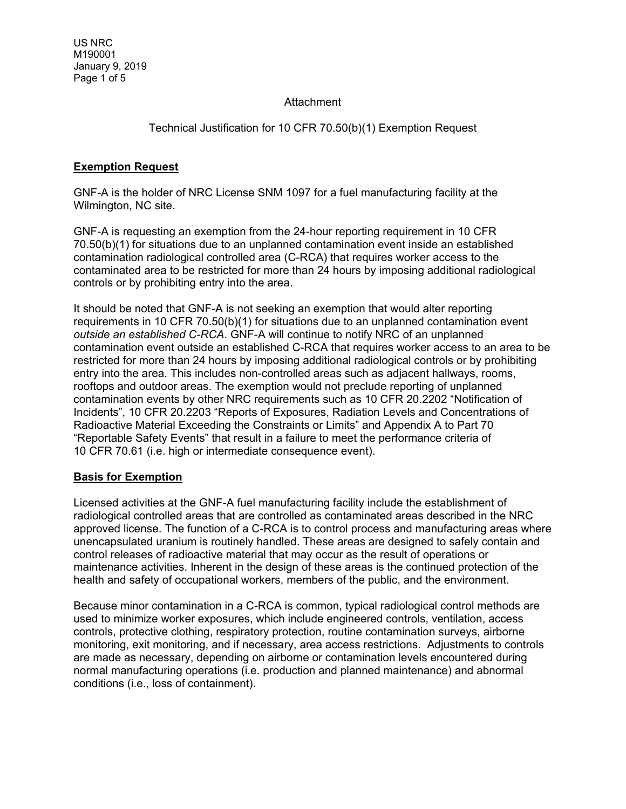### **Attachment**

# Technical Justification for 10 CFR 70.50(b)(1) Exemption Request

# **Exemption Request**

GNF-A is the holder of NRC License SNM 1097 for a fuel manufacturing facility at the Wilmington, NC site.

GNF-A is requesting an exemption from the 24-hour reporting requirement in 10 CFR 70.50(b)(1) for situations due to an unplanned contamination event inside an established contamination radiological controlled area (C-RCA) that requires worker access to the contaminated area to be restricted for more than 24 hours by imposing additional radiological controls or by prohibiting entry into the area.

It should be noted that GNF-A is not seeking an exemption that would alter reporting requirements in 10 CFR 70.50(b)(1) for situations due to an unplanned contamination event *outside an established C-RCA*. GNF-A will continue to notify NRC of an unplanned contamination event outside an established C-RCA that requires worker access to an area to be restricted for more than 24 hours by imposing additional radiological controls or by prohibiting entry into the area. This includes non-controlled areas such as adjacent hallways, rooms, rooftops and outdoor areas. The exemption would not preclude reporting of unplanned contamination events by other NRC requirements such as 10 CFR 20.2202 "Notification of Incidents", 10 CFR 20.2203 "Reports of Exposures, Radiation Levels and Concentrations of Radioactive Material Exceeding the Constraints or Limits" and Appendix A to Part 70 "Reportable Safety Events" that result in a failure to meet the performance criteria of 10 CFR 70.61 (i.e. high or intermediate consequence event).

## **Basis for Exemption**

Licensed activities at the GNF-A fuel manufacturing facility include the establishment of radiological controlled areas that are controlled as contaminated areas described in the NRC approved license. The function of a C-RCA is to control process and manufacturing areas where unencapsulated uranium is routinely handled. These areas are designed to safely contain and control releases of radioactive material that may occur as the result of operations or maintenance activities. Inherent in the design of these areas is the continued protection of the health and safety of occupational workers, members of the public, and the environment.

Because minor contamination in a C-RCA is common, typical radiological control methods are used to minimize worker exposures, which include engineered controls, ventilation, access controls, protective clothing, respiratory protection, routine contamination surveys, airborne monitoring, exit monitoring, and if necessary, area access restrictions. Adjustments to controls are made as necessary, depending on airborne or contamination levels encountered during normal manufacturing operations (i.e. production and planned maintenance) and abnormal conditions (i.e., loss of containment).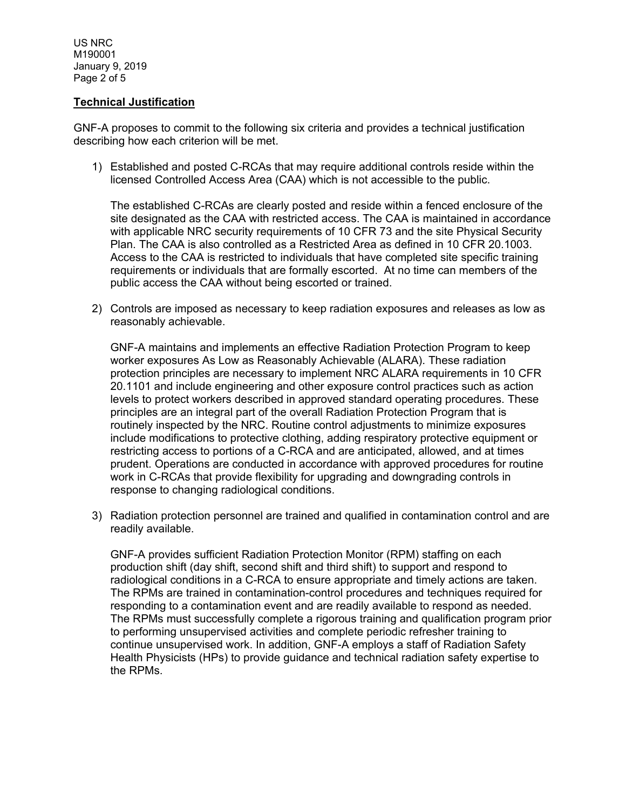US NRC M190001 January 9, 2019 Page 2 of 5

### **Technical Justification**

GNF-A proposes to commit to the following six criteria and provides a technical justification describing how each criterion will be met.

1) Established and posted C-RCAs that may require additional controls reside within the licensed Controlled Access Area (CAA) which is not accessible to the public.

The established C-RCAs are clearly posted and reside within a fenced enclosure of the site designated as the CAA with restricted access. The CAA is maintained in accordance with applicable NRC security requirements of 10 CFR 73 and the site Physical Security Plan. The CAA is also controlled as a Restricted Area as defined in 10 CFR 20.1003. Access to the CAA is restricted to individuals that have completed site specific training requirements or individuals that are formally escorted. At no time can members of the public access the CAA without being escorted or trained.

2) Controls are imposed as necessary to keep radiation exposures and releases as low as reasonably achievable.

GNF-A maintains and implements an effective Radiation Protection Program to keep worker exposures As Low as Reasonably Achievable (ALARA). These radiation protection principles are necessary to implement NRC ALARA requirements in 10 CFR 20.1101 and include engineering and other exposure control practices such as action levels to protect workers described in approved standard operating procedures. These principles are an integral part of the overall Radiation Protection Program that is routinely inspected by the NRC. Routine control adjustments to minimize exposures include modifications to protective clothing, adding respiratory protective equipment or restricting access to portions of a C-RCA and are anticipated, allowed, and at times prudent. Operations are conducted in accordance with approved procedures for routine work in C-RCAs that provide flexibility for upgrading and downgrading controls in response to changing radiological conditions.

3) Radiation protection personnel are trained and qualified in contamination control and are readily available.

GNF-A provides sufficient Radiation Protection Monitor (RPM) staffing on each production shift (day shift, second shift and third shift) to support and respond to radiological conditions in a C-RCA to ensure appropriate and timely actions are taken. The RPMs are trained in contamination-control procedures and techniques required for responding to a contamination event and are readily available to respond as needed. The RPMs must successfully complete a rigorous training and qualification program prior to performing unsupervised activities and complete periodic refresher training to continue unsupervised work. In addition, GNF-A employs a staff of Radiation Safety Health Physicists (HPs) to provide guidance and technical radiation safety expertise to the RPMs.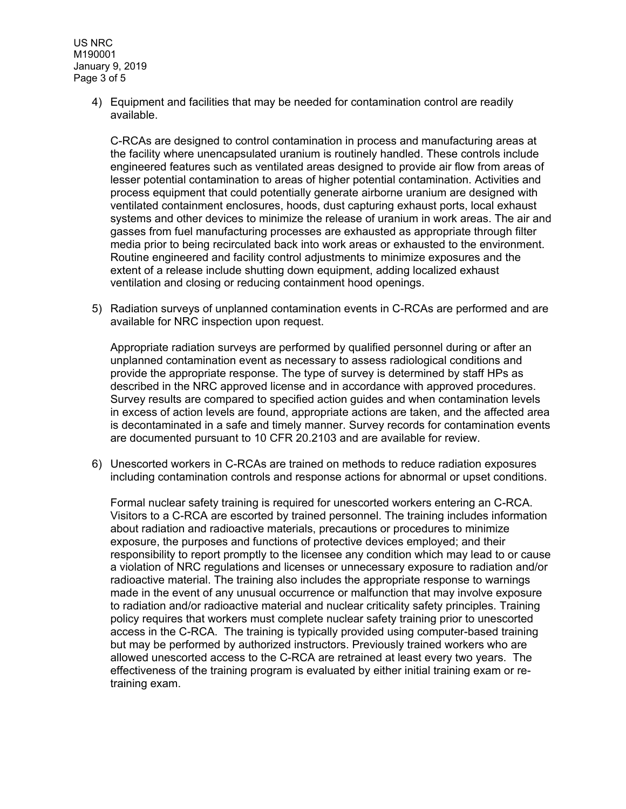US NRC M190001 January 9, 2019 Page 3 of 5

> 4) Equipment and facilities that may be needed for contamination control are readily available.

C-RCAs are designed to control contamination in process and manufacturing areas at the facility where unencapsulated uranium is routinely handled. These controls include engineered features such as ventilated areas designed to provide air flow from areas of lesser potential contamination to areas of higher potential contamination. Activities and process equipment that could potentially generate airborne uranium are designed with ventilated containment enclosures, hoods, dust capturing exhaust ports, local exhaust systems and other devices to minimize the release of uranium in work areas. The air and gasses from fuel manufacturing processes are exhausted as appropriate through filter media prior to being recirculated back into work areas or exhausted to the environment. Routine engineered and facility control adjustments to minimize exposures and the extent of a release include shutting down equipment, adding localized exhaust ventilation and closing or reducing containment hood openings.

5) Radiation surveys of unplanned contamination events in C-RCAs are performed and are available for NRC inspection upon request.

Appropriate radiation surveys are performed by qualified personnel during or after an unplanned contamination event as necessary to assess radiological conditions and provide the appropriate response. The type of survey is determined by staff HPs as described in the NRC approved license and in accordance with approved procedures. Survey results are compared to specified action guides and when contamination levels in excess of action levels are found, appropriate actions are taken, and the affected area is decontaminated in a safe and timely manner. Survey records for contamination events are documented pursuant to 10 CFR 20.2103 and are available for review.

6) Unescorted workers in C-RCAs are trained on methods to reduce radiation exposures including contamination controls and response actions for abnormal or upset conditions.

Formal nuclear safety training is required for unescorted workers entering an C-RCA. Visitors to a C-RCA are escorted by trained personnel. The training includes information about radiation and radioactive materials, precautions or procedures to minimize exposure, the purposes and functions of protective devices employed; and their responsibility to report promptly to the licensee any condition which may lead to or cause a violation of NRC regulations and licenses or unnecessary exposure to radiation and/or radioactive material. The training also includes the appropriate response to warnings made in the event of any unusual occurrence or malfunction that may involve exposure to radiation and/or radioactive material and nuclear criticality safety principles. Training policy requires that workers must complete nuclear safety training prior to unescorted access in the C-RCA. The training is typically provided using computer-based training but may be performed by authorized instructors. Previously trained workers who are allowed unescorted access to the C-RCA are retrained at least every two years. The effectiveness of the training program is evaluated by either initial training exam or retraining exam.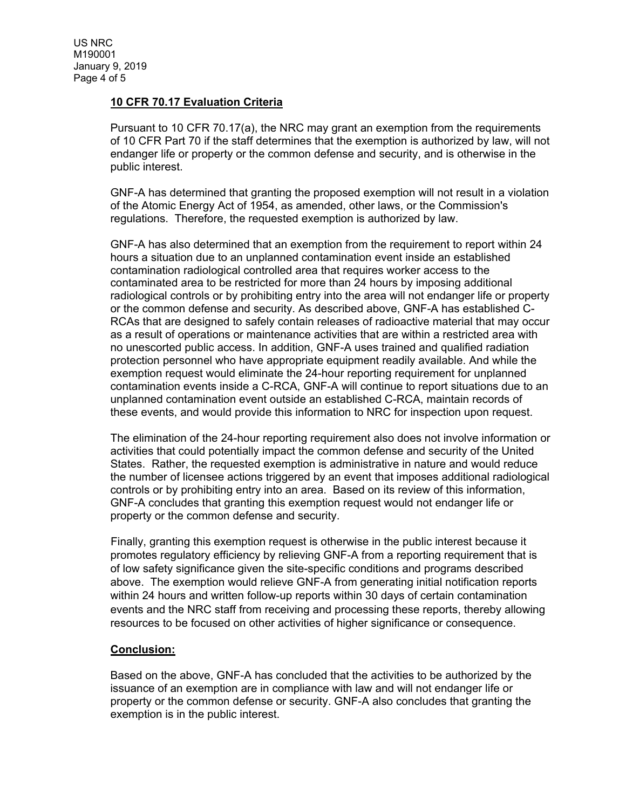### **10 CFR 70.17 Evaluation Criteria**

Pursuant to 10 CFR 70.17(a), the NRC may grant an exemption from the requirements of 10 CFR Part 70 if the staff determines that the exemption is authorized by law, will not endanger life or property or the common defense and security, and is otherwise in the public interest.

GNF-A has determined that granting the proposed exemption will not result in a violation of the Atomic Energy Act of 1954, as amended, other laws, or the Commission's regulations. Therefore, the requested exemption is authorized by law.

GNF-A has also determined that an exemption from the requirement to report within 24 hours a situation due to an unplanned contamination event inside an established contamination radiological controlled area that requires worker access to the contaminated area to be restricted for more than 24 hours by imposing additional radiological controls or by prohibiting entry into the area will not endanger life or property or the common defense and security. As described above, GNF-A has established C-RCAs that are designed to safely contain releases of radioactive material that may occur as a result of operations or maintenance activities that are within a restricted area with no unescorted public access. In addition, GNF-A uses trained and qualified radiation protection personnel who have appropriate equipment readily available. And while the exemption request would eliminate the 24-hour reporting requirement for unplanned contamination events inside a C-RCA, GNF-A will continue to report situations due to an unplanned contamination event outside an established C-RCA, maintain records of these events, and would provide this information to NRC for inspection upon request.

The elimination of the 24-hour reporting requirement also does not involve information or activities that could potentially impact the common defense and security of the United States. Rather, the requested exemption is administrative in nature and would reduce the number of licensee actions triggered by an event that imposes additional radiological controls or by prohibiting entry into an area. Based on its review of this information, GNF-A concludes that granting this exemption request would not endanger life or property or the common defense and security.

Finally, granting this exemption request is otherwise in the public interest because it promotes regulatory efficiency by relieving GNF-A from a reporting requirement that is of low safety significance given the site-specific conditions and programs described above. The exemption would relieve GNF-A from generating initial notification reports within 24 hours and written follow-up reports within 30 days of certain contamination events and the NRC staff from receiving and processing these reports, thereby allowing resources to be focused on other activities of higher significance or consequence.

### **Conclusion:**

Based on the above, GNF-A has concluded that the activities to be authorized by the issuance of an exemption are in compliance with law and will not endanger life or property or the common defense or security. GNF-A also concludes that granting the exemption is in the public interest.